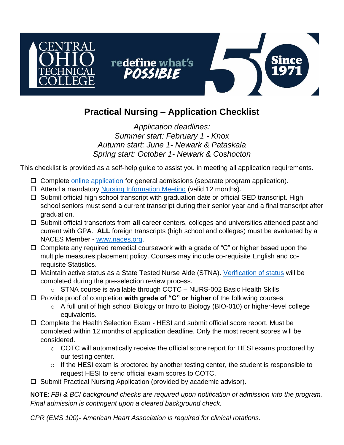

## **Practical Nursing – Application Checklist**

## *Application deadlines: Summer start: February 1 - Knox Autumn start: June 1- Newark & Pataskala Spring start: October 1- Newark & Coshocton*

This checklist is provided as a self-help guide to assist you in meeting all application requirements.

- $\Box$  Complete [online application](https://cotc.elluciancrmrecruit.com/Apply/Account/Login?ReturnUrl=%2fApply) for general admissions (separate program application).
- $\Box$  Attend a mandatory [Nursing Information Meeting](https://www.cotc.edu/program-information-meetings) (valid 12 months).
- $\Box$  Submit official high school transcript with graduation date or official GED transcript. High school seniors must send a current transcript during their senior year and a final transcript after graduation.
- □ Submit official transcripts from **all** career centers, colleges and universities attended past and current with GPA. **ALL** foreign transcripts (high school and colleges) must be evaluated by a NACES Member - [www.naces.org.](www.naces.org)
- $\Box$  Complete any required remedial coursework with a grade of "C" or higher based upon the multiple measures placement policy. Courses may include co-requisite English and corequisite Statistics.
- □ Maintain active status as a State Tested Nurse Aide (STNA). [Verification of status](https://nurseaideregistry.odh.ohio.gov/Public/PublicNurseAideSearch) will be completed during the pre-selection review process.
	- o STNA course is available through COTC NURS-002 Basic Health Skills
- □ Provide proof of completion **with grade of "C" or higher** of the following courses:
	- o A full unit of high school Biology or Intro to Biology (BIO-010) or higher-level college equivalents.
- □ Complete the Health Selection Exam HESI and submit official score report. Must be completed within 12 months of application deadline. Only the most recent scores will be considered.
	- $\circ$  COTC will automatically receive the official score report for HESI exams proctored by our testing center.
	- $\circ$  If the HESI exam is proctored by another testing center, the student is responsible to request HESI to send official exam scores to COTC.
- $\square$  Submit Practical Nursing Application (provided by academic advisor).

**NOTE**: *FBI & BCI background checks are required upon notification of admission into the program. Final admission is contingent upon a cleared background check.*

*CPR (EMS 100)- American Heart Association is required for clinical rotations.*